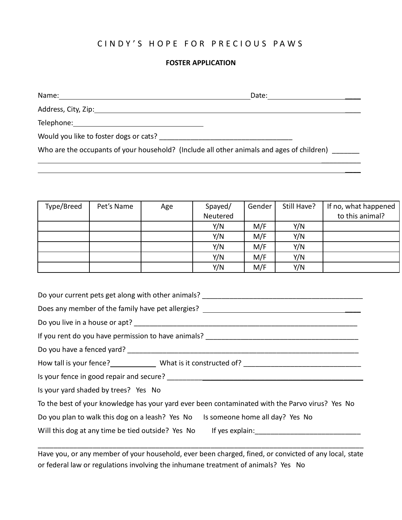## CINDY'S HOPE FOR PRECIOUS PAWS

## **FOSTER APPLICATION**

Name: Date: \_\_\_\_

 $\frac{1}{2}$ 

 $\overline{\phantom{a}}$ 

Address, City, Zip: \_\_\_\_

Telephone:

Would you like to foster dogs or cats? \_\_\_\_\_\_\_\_\_\_\_\_\_\_\_\_\_\_\_\_\_\_\_\_\_\_\_\_\_\_\_\_\_\_

Who are the occupants of your household? (Include all other animals and ages of children)

| Type/Breed | Pet's Name | Age | Spayed/  | Gender | Still Have? | If no, what happened |
|------------|------------|-----|----------|--------|-------------|----------------------|
|            |            |     | Neutered |        |             | to this animal?      |
|            |            |     | Y/N      | M/F    | Y/N         |                      |
|            |            |     | Y/N      | M/F    | Y/N         |                      |
|            |            |     | Y/N      | M/F    | Y/N         |                      |
|            |            |     | Y/N      | M/F    | Y/N         |                      |
|            |            |     | Y/N      | M/F    | Y/N         |                      |

| Do your current pets get along with other animals? ______________________________               |  |  |  |  |  |
|-------------------------------------------------------------------------------------------------|--|--|--|--|--|
| Does any member of the family have pet allergies? ______________________________                |  |  |  |  |  |
|                                                                                                 |  |  |  |  |  |
|                                                                                                 |  |  |  |  |  |
|                                                                                                 |  |  |  |  |  |
|                                                                                                 |  |  |  |  |  |
|                                                                                                 |  |  |  |  |  |
| Is your yard shaded by trees? Yes No                                                            |  |  |  |  |  |
| To the best of your knowledge has your yard ever been contaminated with the Parvo virus? Yes No |  |  |  |  |  |
| Do you plan to walk this dog on a leash? Yes No Is someone home all day? Yes No                 |  |  |  |  |  |
|                                                                                                 |  |  |  |  |  |

Have you, or any member of your household, ever been charged, fined, or convicted of any local, state or federal law or regulations involving the inhumane treatment of animals? Yes No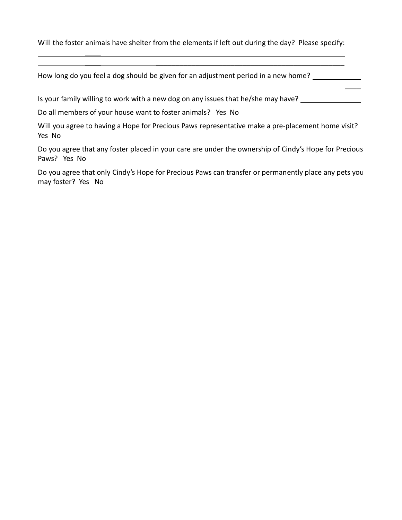Will the foster animals have shelter from the elements if left out during the day? Please specify:

 $\overline{\phantom{a}}$  , and the contract of the contract of the contract of the contract of the contract of the contract of the contract of the contract of the contract of the contract of the contract of the contract of the contrac

 $\overline{\phantom{a}}$ 

How long do you feel a dog should be given for an adjustment period in a new home?

Is your family willing to work with a new dog on any issues that he/she may have?

Do all members of your house want to foster animals? Yes No

 $\overline{\phantom{a}}$ 

Will you agree to having a Hope for Precious Paws representative make a pre-placement home visit? Yes No

Do you agree that any foster placed in your care are under the ownership of Cindy's Hope for Precious Paws? Yes No

Do you agree that only Cindy's Hope for Precious Paws can transfer or permanently place any pets you may foster? Yes No